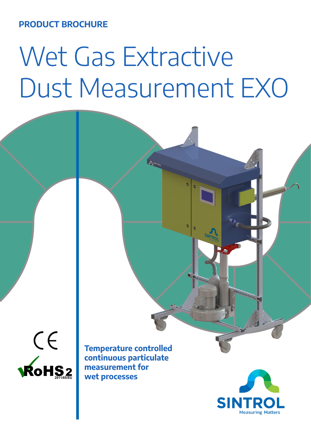**PRODUCT BROCHURE**

## Wet Gas Extractive Dust Measurement EXO

**ASINTRO** 

 $\bullet$ 



**Temperature controlled continuous particulate measurement for wet processes**